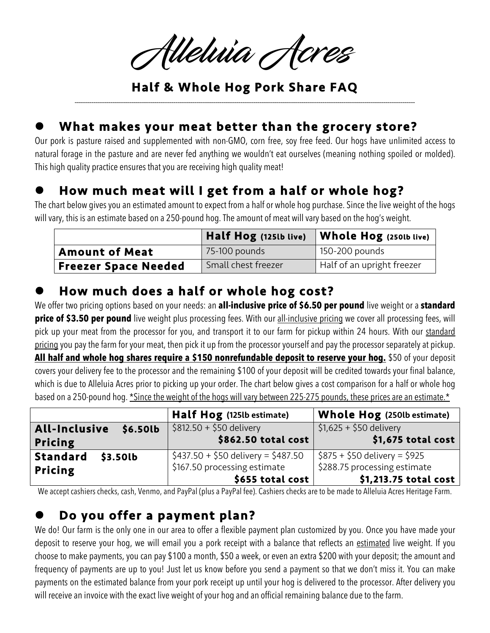Alleluia Acres

Half & Whole Hog Pork Share FAQ \_\_\_\_\_\_\_\_\_\_\_\_\_\_\_\_\_\_\_\_\_\_\_\_\_\_\_\_\_\_\_\_\_\_\_\_\_\_\_\_\_\_\_\_\_\_\_\_\_\_\_\_\_\_\_\_\_\_\_\_\_\_\_\_\_\_\_\_\_\_\_\_\_\_\_\_\_\_\_\_\_\_\_\_\_\_\_\_\_\_\_\_\_\_\_\_\_\_\_\_\_\_\_\_\_\_\_\_\_\_\_\_\_\_\_\_\_\_\_\_\_\_\_\_\_\_\_\_\_\_\_\_\_\_\_\_\_\_\_\_\_\_\_\_\_\_\_\_\_\_\_\_\_\_\_\_\_\_\_\_\_\_

#### What makes your meat better than the grocery store?

Our pork is pasture raised and supplemented with non-GMO, corn free, soy free feed. Our hogs have unlimited access to natural forage in the pasture and are never fed anything we wouldn't eat ourselves (meaning nothing spoiled or molded). This high quality practice ensures that you are receiving high quality meat!

## How much meat will I get from a half or whole hog?

The chart below gives you an estimated amount to expect from a half or whole hog purchase. Since the live weight of the hogs will vary, this is an estimate based on a 250-pound hog. The amount of meat will vary based on the hog's weight.

|                             | Half Hog (125lb live) | Whole Hog (250lb live)     |
|-----------------------------|-----------------------|----------------------------|
| <b>Amount of Meat</b>       | 75-100 pounds         | 150-200 pounds             |
| <b>Freezer Space Needed</b> | Small chest freezer   | Half of an upright freezer |

#### How much does a half or whole hog cost?

We offer two pricing options based on your needs: an **all-inclusive price of \$6.50 per pound** live weight or a **standard price of \$3.50 per pound** live weight plus processing fees. With our all-inclusive pricing we cover all processing fees, will pick up your meat from the processor for you, and transport it to our farm for pickup within 24 hours. With our standard pricing you pay the farm for your meat, then pick it up from the processor yourself and pay the processor separately at pickup. **All half and whole hog shares require a \$150 nonrefundable deposit to reserve your hog.** \$50 of your deposit covers your delivery fee to the processor and the remaining \$100 of your deposit will be credited towards your final balance, which is due to Alleluia Acres prior to picking up your order. The chart below gives a cost comparison for a half or whole hog based on a 250-pound hog. \*Since the weight of the hogs will vary between 225-275 pounds, these prices are an estimate.\*

|                             | <b>Half Hog</b> (125lb estimate)    | <b>Whole Hog</b> (250lb estimate)           |
|-----------------------------|-------------------------------------|---------------------------------------------|
| All-Inclusive<br>\$6.50lb   | \$812.50 + \$50 delivery            | $$1,625 + $50$ delivery                     |
| Pricing                     | \$862.50 total cost                 | \$1,675 total cost                          |
| <b>Standard</b><br>\$3.50lb | $$437.50 + $50$ delivery = \$487.50 | $\frac{1}{2}$ \$875 + \$50 delivery = \$925 |
| <b>Pricing</b>              | \$167.50 processing estimate        | \$288.75 processing estimate                |
|                             | \$655 total cost                    | \$1,213.75 total cost                       |

We accept cashiers checks, cash, Venmo, and PayPal (plus a PayPal fee). Cashiers checks are to be made to Alleluia Acres Heritage Farm.

### Do you offer a payment plan?

We do! Our farm is the only one in our area to offer a flexible payment plan customized by you. Once you have made your deposit to reserve your hog, we will email you a pork receipt with a balance that reflects an estimated live weight. If you choose to make payments, you can pay \$100 a month, \$50 a week, or even an extra \$200 with your deposit; the amount and frequency of payments are up to you! Just let us know before you send a payment so that we don't miss it. You can make payments on the estimated balance from your pork receipt up until your hog is delivered to the processor. After delivery you will receive an invoice with the exact live weight of your hog and an official remaining balance due to the farm.